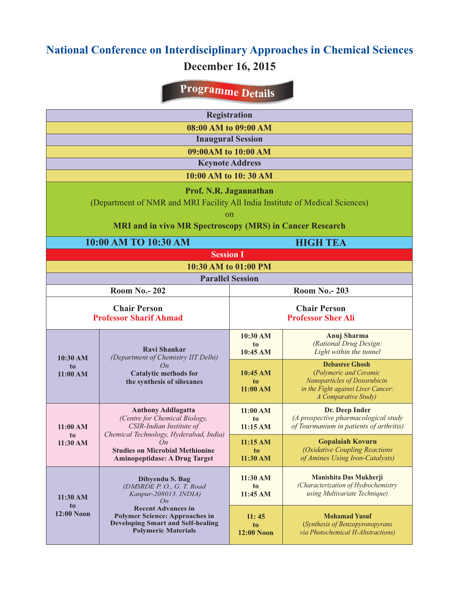## **National Conference on Interdisciplinary Approaches in Chemical Sciences December 16, 2015**

## **<sup>P</sup><sup>r</sup>ogramme <sup>D</sup>etail<sup>s</sup>**

| <b>Registration</b>                                             |                                                                                                                                                                                                                             |                            |                                                                    |  |  |  |  |
|-----------------------------------------------------------------|-----------------------------------------------------------------------------------------------------------------------------------------------------------------------------------------------------------------------------|----------------------------|--------------------------------------------------------------------|--|--|--|--|
| 08:00 AM to 09:00 AM                                            |                                                                                                                                                                                                                             |                            |                                                                    |  |  |  |  |
| <b>Inaugural Session</b>                                        |                                                                                                                                                                                                                             |                            |                                                                    |  |  |  |  |
| 09:00AM to 10:00 AM                                             |                                                                                                                                                                                                                             |                            |                                                                    |  |  |  |  |
|                                                                 | <b>Keynote Address</b>                                                                                                                                                                                                      |                            |                                                                    |  |  |  |  |
| 10:00 AM to 10:30 AM                                            |                                                                                                                                                                                                                             |                            |                                                                    |  |  |  |  |
|                                                                 | Prof. N.R. Jagannathan                                                                                                                                                                                                      |                            |                                                                    |  |  |  |  |
|                                                                 | (Department of NMR and MRI Facility All India Institute of Medical Sciences)                                                                                                                                                |                            |                                                                    |  |  |  |  |
|                                                                 |                                                                                                                                                                                                                             | on                         |                                                                    |  |  |  |  |
| <b>MRI and in vivo MR Spectroscopy (MRS) in Cancer Research</b> |                                                                                                                                                                                                                             |                            |                                                                    |  |  |  |  |
|                                                                 | 10:00 AM TO 10:30 AM                                                                                                                                                                                                        | <b>HIGH TEA</b>            |                                                                    |  |  |  |  |
| <b>Session I</b>                                                |                                                                                                                                                                                                                             |                            |                                                                    |  |  |  |  |
| 10:30 AM to 01:00 PM                                            |                                                                                                                                                                                                                             |                            |                                                                    |  |  |  |  |
| <b>Parallel Session</b>                                         |                                                                                                                                                                                                                             |                            |                                                                    |  |  |  |  |
|                                                                 | <b>Room No.- 202</b>                                                                                                                                                                                                        | <b>Room No.- 203</b>       |                                                                    |  |  |  |  |
| <b>Chair Person</b>                                             |                                                                                                                                                                                                                             | <b>Chair Person</b>        |                                                                    |  |  |  |  |
|                                                                 | <b>Professor Sharif Ahmad</b>                                                                                                                                                                                               | <b>Professor Sher Ali</b>  |                                                                    |  |  |  |  |
| 10:30 AM<br>to<br>11:00 AM                                      | <b>Ravi Shankar</b><br>(Department of Chemistry IIT Delhi)<br>On<br><b>Catalytic methods for</b><br>the synthesis of siloxanes                                                                                              | 10:30 AM                   | <b>Anuj Sharma</b>                                                 |  |  |  |  |
|                                                                 |                                                                                                                                                                                                                             | to<br>10:45 AM             | (Rational Drug Design:<br>Light within the tunnel                  |  |  |  |  |
|                                                                 |                                                                                                                                                                                                                             |                            | <b>Debasree Ghosh</b>                                              |  |  |  |  |
|                                                                 |                                                                                                                                                                                                                             | 10:45 AM                   | (Polymeric and Ceramic                                             |  |  |  |  |
|                                                                 |                                                                                                                                                                                                                             | to<br>11:00 AM             | Nanoparticles of Doxorubicin<br>in the Fight against Liver Cancer: |  |  |  |  |
|                                                                 |                                                                                                                                                                                                                             |                            | A Comparative Study)                                               |  |  |  |  |
| 11:00 AM<br>t <sub>o</sub><br>11:30 AM                          | <b>Anthony Addlagatta</b><br>(Centre for Chemical Biology,<br>CSIR-Indian Institute of<br>Chemical Technology, Hyderabad, India)<br>On<br><b>Studies on Microbial Methionine</b><br><b>Aminopeptidase: A Drug Target</b>    | 11:00 AM<br>to             | Dr. Deep Inder<br>(A prospective pharmacological study             |  |  |  |  |
|                                                                 |                                                                                                                                                                                                                             | 11:15AM                    | of Tourmanium in patients of arthritis)                            |  |  |  |  |
|                                                                 |                                                                                                                                                                                                                             | 11:15 AM                   | <b>Gopalaiah Kovuru</b>                                            |  |  |  |  |
|                                                                 |                                                                                                                                                                                                                             | to<br>11:30 AM             | (Oxidative Coupling Reactions<br>of Amines Using Iron-Catalysts)   |  |  |  |  |
|                                                                 |                                                                                                                                                                                                                             |                            |                                                                    |  |  |  |  |
| 11:30 AM<br>to<br><b>12:00 Noon</b>                             | Dibyendu S. Bag<br>(DMSRDE P. O., G. T. Road<br>Kanpur-208013, INDIA)<br>On<br><b>Recent Advances in</b><br><b>Polymer Science: Approaches in</b><br><b>Developing Smart and Self-healing</b><br><b>Polymeric Materials</b> | 11:30 AM                   | Manishita Das Mukherji<br>(Characterization of Hydrochemistry      |  |  |  |  |
|                                                                 |                                                                                                                                                                                                                             | t <sub>o</sub><br>11:45 AM | using Multivariate Technique)                                      |  |  |  |  |
|                                                                 |                                                                                                                                                                                                                             |                            |                                                                    |  |  |  |  |
|                                                                 |                                                                                                                                                                                                                             | 11:45<br>to                | <b>Mohamad Yusuf</b><br>(Synthesis of Benzopyronopyrans            |  |  |  |  |
|                                                                 |                                                                                                                                                                                                                             | <b>12:00 Noon</b>          | via Photochemical H-Abstractions)                                  |  |  |  |  |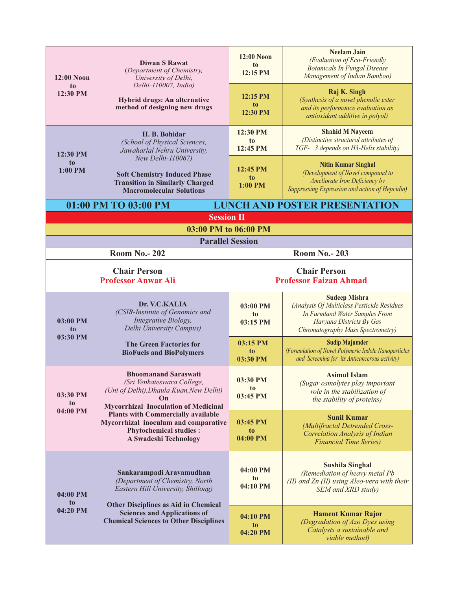| $12:00$ Noon<br>to<br>12:30 PM                               | <b>Diwan S Rawat</b><br>(Department of Chemistry,<br>University of Delhi,<br>Delhi-110007, India)<br>Hybrid drugs: An alternative<br>method of designing new drugs                                                                                                                                       | <b>12:00 Noon</b><br>to<br>12:15 PM                  | <b>Neelam Jain</b><br>(Evaluation of Eco-Friendly<br><b>Botanicals In Fungal Disease</b><br>Management of Indian Bamboo)                                              |  |  |  |  |
|--------------------------------------------------------------|----------------------------------------------------------------------------------------------------------------------------------------------------------------------------------------------------------------------------------------------------------------------------------------------------------|------------------------------------------------------|-----------------------------------------------------------------------------------------------------------------------------------------------------------------------|--|--|--|--|
|                                                              |                                                                                                                                                                                                                                                                                                          | 12:15 PM<br>t <sub>0</sub><br>12:30 PM               | Raj K. Singh<br>(Synthesis of a novel phenolic ester<br>and its performance evaluation as<br>antioxidant additive in polyol)                                          |  |  |  |  |
| 12:30 PM<br>t <sub>o</sub><br>1:00 PM                        | H. B. Bohidar<br>(School of Physical Sciences,<br>Jawaharlal Nehru University,<br>New Delhi-110067)<br><b>Soft Chemistry Induced Phase</b><br><b>Transition in Similarly Charged</b><br><b>Macromolecular Solutions</b>                                                                                  | 12:30 PM<br>t <sub>o</sub><br>12:45 PM               | <b>Shahid M Nayeem</b><br>(Distinctive structural attributes of<br>TGF- 3 depends on H3-Helix stability)                                                              |  |  |  |  |
|                                                              |                                                                                                                                                                                                                                                                                                          | 12:45 PM<br>to<br>1:00 PM                            | <b>Nitin Kumar Singhal</b><br>(Development of Novel compound to<br>Ameliorate Iron Deficiency by<br>Suppressing Expression and action of Hepcidin)                    |  |  |  |  |
| <b>LUNCH AND POSTER PRESENTATION</b><br>01:00 PM TO 03:00 PM |                                                                                                                                                                                                                                                                                                          |                                                      |                                                                                                                                                                       |  |  |  |  |
| <b>Session II</b><br>03:00 PM to 06:00 PM                    |                                                                                                                                                                                                                                                                                                          |                                                      |                                                                                                                                                                       |  |  |  |  |
| <b>Parallel Session</b>                                      |                                                                                                                                                                                                                                                                                                          |                                                      |                                                                                                                                                                       |  |  |  |  |
| <b>Room No.- 202</b>                                         |                                                                                                                                                                                                                                                                                                          | <b>Room No.- 203</b>                                 |                                                                                                                                                                       |  |  |  |  |
| <b>Chair Person</b><br><b>Professor Anwar Ali</b>            |                                                                                                                                                                                                                                                                                                          | <b>Chair Person</b><br><b>Professor Faizan Ahmad</b> |                                                                                                                                                                       |  |  |  |  |
| 03:00 PM<br>to<br>03:30 PM                                   | Dr. V.C.KALIA<br>(CSIR-Institute of Genomics and<br>Integrative Biology,<br>Delhi University Campus)                                                                                                                                                                                                     | 03:00 PM<br>to<br>03:15 PM                           | <b>Sudeep Mishra</b><br>(Analysis Of Multiclass Pesticide Residues<br>In Farmland Water Samples From<br>Haryana Districts By Gas<br>Chromatography Mass Spectrometry) |  |  |  |  |
|                                                              | <b>The Green Factories for</b><br><b>BioFuels and BioPolymers</b>                                                                                                                                                                                                                                        | 03:15 PM<br>to<br>03:30 PM                           | <b>Sudip Majumder</b><br>(Formulation of Novel Polymeric Indole Nanoparticles<br>and Screening for its Anticancerous activity)                                        |  |  |  |  |
| 03:30 PM<br>to<br>04:00 PM                                   | <b>Bhoomanand Saraswati</b><br>(Sri Venkateswara College,<br>(Uni of Delhi), Dhaula Kuan, New Delhi)<br>On<br><b>Mycorrhizal Inoculation of Medicinal</b><br><b>Plants with Commercially available</b><br>Mycorrhizal inoculum and comparative<br><b>Phytochemical studies:</b><br>A Swadeshi Technology | 03:30 PM<br>t <sub>0</sub><br>03:45 PM               | <b>Asimul Islam</b><br>(Sugar osmolytes play important<br>role in the stabilization of<br>the stability of proteins)                                                  |  |  |  |  |
|                                                              |                                                                                                                                                                                                                                                                                                          | 03:45 PM<br>to.<br>04:00 PM                          | <b>Sunil Kumar</b><br>(Multifractal Detrended Cross-<br><b>Correlation Analysis of Indian</b><br><b>Financial Time Series</b> )                                       |  |  |  |  |
| 04:00 PM<br>to<br>04:20 PM                                   | Sankarampadi Aravamudhan<br>(Department of Chemistry, North<br>Eastern Hill University, Shillong)<br>Other Disciplines as Aid in Chemical<br><b>Sciences and Applications of</b><br><b>Chemical Sciences to Other Disciplines</b>                                                                        | 04:00 PM<br>t <sub>0</sub><br>04:10 PM               | <b>Sushila Singhal</b><br>(Remediation of heavy metal Pb<br>(II) and $Zn$ (II) using Aleo-vera with their<br>SEM and XRD study)                                       |  |  |  |  |
|                                                              |                                                                                                                                                                                                                                                                                                          | 04:10 PM<br>to<br>04:20 PM                           | <b>Hament Kumar Rajor</b><br>(Degradation of Azo Dyes using<br>Catalysts a sustainable and<br>viable method)                                                          |  |  |  |  |